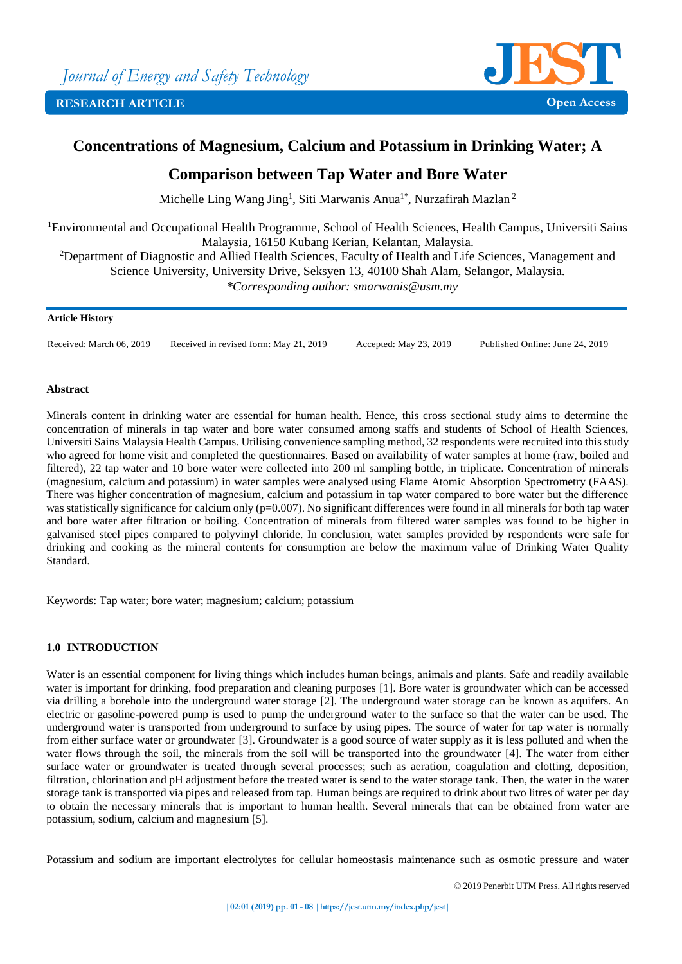

# **Concentrations of Magnesium, Calcium and Potassium in Drinking Water; A**

# **Comparison between Tap Water and Bore Water**

Michelle Ling Wang Jing<sup>1</sup>, Siti Marwanis Anua<sup>1\*</sup>, Nurzafirah Mazlan<sup>2</sup>

<sup>1</sup>Environmental and Occupational Health Programme, School of Health Sciences, Health Campus, Universiti Sains Malaysia, 16150 Kubang Kerian, Kelantan, Malaysia.

<sup>2</sup>Department of Diagnostic and Allied Health Sciences, Faculty of Health and Life Sciences, Management and

Science University, University Drive, Seksyen 13, 40100 Shah Alam, Selangor, Malaysia.

*\*Corresponding author: smarwanis@usm.my*

#### **Article History**

Received: March 06, 2019 Received in revised form: May 21, 2019 Accepted: May 23, 2019 Published Online: June 24, 2019

### **Abstract**

Minerals content in drinking water are essential for human health. Hence, this cross sectional study aims to determine the concentration of minerals in tap water and bore water consumed among staffs and students of School of Health Sciences, Universiti Sains Malaysia Health Campus. Utilising convenience sampling method, 32 respondents were recruited into this study who agreed for home visit and completed the questionnaires. Based on availability of water samples at home (raw, boiled and filtered), 22 tap water and 10 bore water were collected into 200 ml sampling bottle, in triplicate. Concentration of minerals (magnesium, calcium and potassium) in water samples were analysed using Flame Atomic Absorption Spectrometry (FAAS). There was higher concentration of magnesium, calcium and potassium in tap water compared to bore water but the difference was statistically significance for calcium only (p=0.007). No significant differences were found in all minerals for both tap water and bore water after filtration or boiling. Concentration of minerals from filtered water samples was found to be higher in galvanised steel pipes compared to polyvinyl chloride. In conclusion, water samples provided by respondents were safe for drinking and cooking as the mineral contents for consumption are below the maximum value of Drinking Water Quality Standard.

Keywords: Tap water; bore water; magnesium; calcium; potassium

# **1.0 INTRODUCTION**

Water is an essential component for living things which includes human beings, animals and plants. Safe and readily available water is important for drinking, food preparation and cleaning purposes [1]. Bore water is groundwater which can be accessed via drilling a borehole into the underground water storage [2]. The underground water storage can be known as aquifers. An electric or gasoline-powered pump is used to pump the underground water to the surface so that the water can be used. The underground water is transported from underground to surface by using pipes. The source of water for tap water is normally from either surface water or groundwater [3]. Groundwater is a good source of water supply as it is less polluted and when the water flows through the soil, the minerals from the soil will be transported into the groundwater [4]. The water from either surface water or groundwater is treated through several processes; such as aeration, coagulation and clotting, deposition, filtration, chlorination and pH adjustment before the treated water is send to the water storage tank. Then, the water in the water storage tank is transported via pipes and released from tap. Human beings are required to drink about two litres of water per day to obtain the necessary minerals that is important to human health. Several minerals that can be obtained from water are potassium, sodium, calcium and magnesium [5].

Potassium and sodium are important electrolytes for cellular homeostasis maintenance such as osmotic pressure and water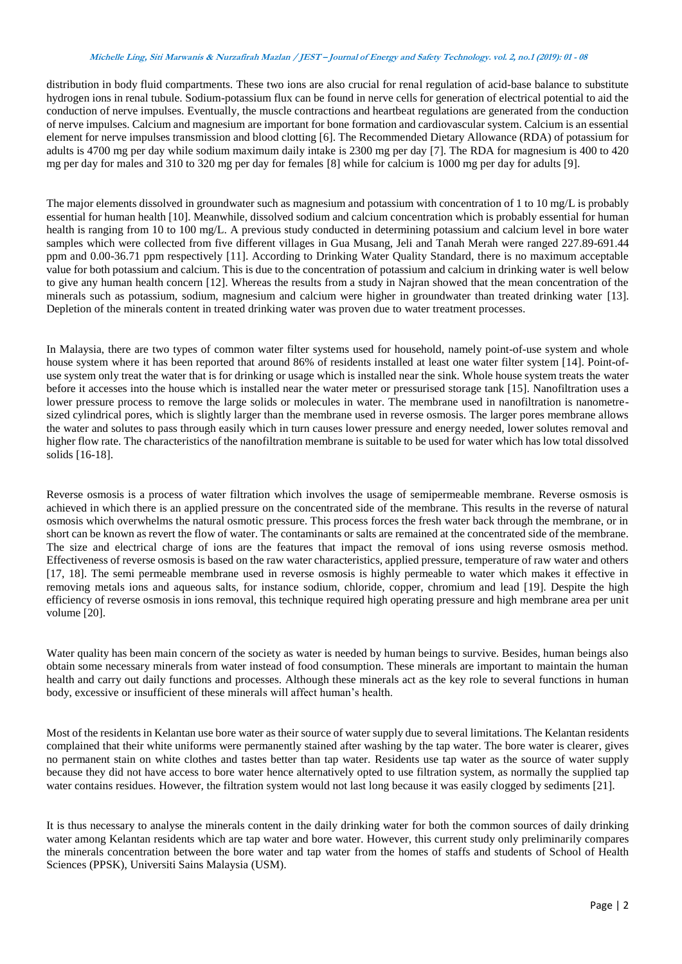#### **Michelle Ling, Siti Marwanis & Nurzafirah Mazlan / JEST – Journal of Energy and Safety Technology. vol. 2, no.1 (2019): <sup>01</sup> - <sup>08</sup>**

distribution in body fluid compartments. These two ions are also crucial for renal regulation of acid-base balance to substitute hydrogen ions in renal tubule. Sodium-potassium flux can be found in nerve cells for generation of electrical potential to aid the conduction of nerve impulses. Eventually, the muscle contractions and heartbeat regulations are generated from the conduction of nerve impulses. Calcium and magnesium are important for bone formation and cardiovascular system. Calcium is an essential element for nerve impulses transmission and blood clotting [6]. The Recommended Dietary Allowance (RDA) of potassium for adults is 4700 mg per day while sodium maximum daily intake is 2300 mg per day [7]. The RDA for magnesium is 400 to 420 mg per day for males and 310 to 320 mg per day for females [8] while for calcium is 1000 mg per day for adults [9].

The major elements dissolved in groundwater such as magnesium and potassium with concentration of 1 to 10 mg/L is probably essential for human health [10]. Meanwhile, dissolved sodium and calcium concentration which is probably essential for human health is ranging from 10 to 100 mg/L. A previous study conducted in determining potassium and calcium level in bore water samples which were collected from five different villages in Gua Musang, Jeli and Tanah Merah were ranged 227.89-691.44 ppm and 0.00-36.71 ppm respectively [11]. According to Drinking Water Quality Standard, there is no maximum acceptable value for both potassium and calcium. This is due to the concentration of potassium and calcium in drinking water is well below to give any human health concern [12]. Whereas the results from a study in Najran showed that the mean concentration of the minerals such as potassium, sodium, magnesium and calcium were higher in groundwater than treated drinking water [13]. Depletion of the minerals content in treated drinking water was proven due to water treatment processes.

In Malaysia, there are two types of common water filter systems used for household, namely point-of-use system and whole house system where it has been reported that around 86% of residents installed at least one water filter system [14]. Point-ofuse system only treat the water that is for drinking or usage which is installed near the sink. Whole house system treats the water before it accesses into the house which is installed near the water meter or pressurised storage tank [15]. Nanofiltration uses a lower pressure process to remove the large solids or molecules in water. The membrane used in nanofiltration is nanometresized cylindrical pores, which is slightly larger than the membrane used in reverse osmosis. The larger pores membrane allows the water and solutes to pass through easily which in turn causes lower pressure and energy needed, lower solutes removal and higher flow rate. The characteristics of the nanofiltration membrane is suitable to be used for water which has low total dissolved solids [16-18].

Reverse osmosis is a process of water filtration which involves the usage of semipermeable membrane. Reverse osmosis is achieved in which there is an applied pressure on the concentrated side of the membrane. This results in the reverse of natural osmosis which overwhelms the natural osmotic pressure. This process forces the fresh water back through the membrane, or in short can be known as revert the flow of water. The contaminants or salts are remained at the concentrated side of the membrane. The size and electrical charge of ions are the features that impact the removal of ions using reverse osmosis method. Effectiveness of reverse osmosis is based on the raw water characteristics, applied pressure, temperature of raw water and others [17, 18]. The semi permeable membrane used in reverse osmosis is highly permeable to water which makes it effective in removing metals ions and aqueous salts, for instance sodium, chloride, copper, chromium and lead [19]. Despite the high efficiency of reverse osmosis in ions removal, this technique required high operating pressure and high membrane area per unit volume [20].

Water quality has been main concern of the society as water is needed by human beings to survive. Besides, human beings also obtain some necessary minerals from water instead of food consumption. These minerals are important to maintain the human health and carry out daily functions and processes. Although these minerals act as the key role to several functions in human body, excessive or insufficient of these minerals will affect human's health.

Most of the residents in Kelantan use bore water as their source of water supply due to several limitations. The Kelantan residents complained that their white uniforms were permanently stained after washing by the tap water. The bore water is clearer, gives no permanent stain on white clothes and tastes better than tap water. Residents use tap water as the source of water supply because they did not have access to bore water hence alternatively opted to use filtration system, as normally the supplied tap water contains residues. However, the filtration system would not last long because it was easily clogged by sediments [21].

It is thus necessary to analyse the minerals content in the daily drinking water for both the common sources of daily drinking water among Kelantan residents which are tap water and bore water. However, this current study only preliminarily compares the minerals concentration between the bore water and tap water from the homes of staffs and students of School of Health Sciences (PPSK), Universiti Sains Malaysia (USM).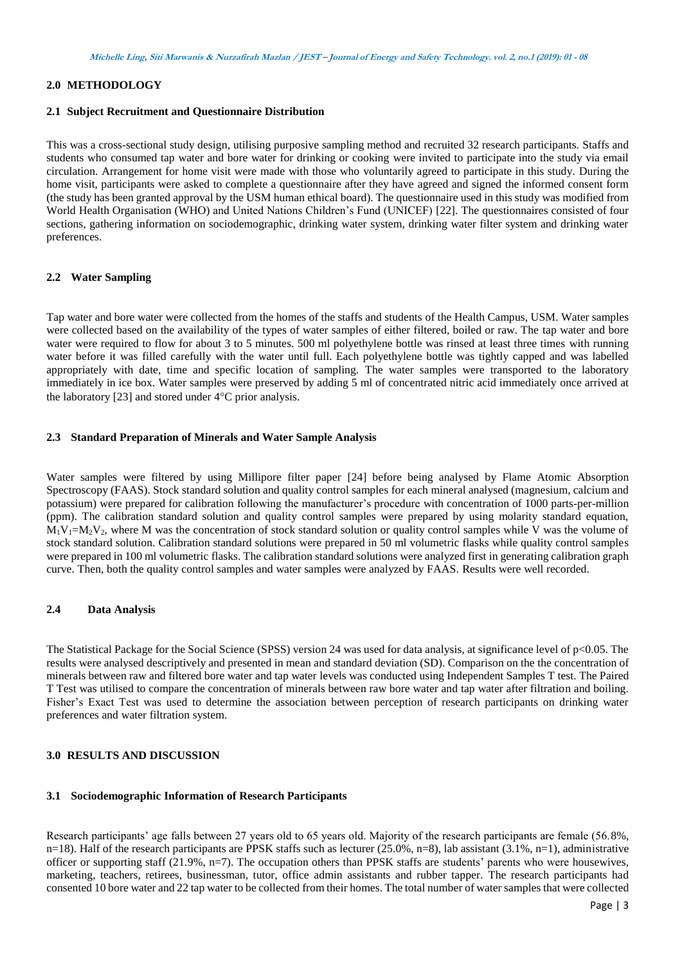# **2.0 METHODOLOGY**

#### **2.1 Subject Recruitment and Questionnaire Distribution**

This was a cross-sectional study design, utilising purposive sampling method and recruited 32 research participants. Staffs and students who consumed tap water and bore water for drinking or cooking were invited to participate into the study via email circulation. Arrangement for home visit were made with those who voluntarily agreed to participate in this study. During the home visit, participants were asked to complete a questionnaire after they have agreed and signed the informed consent form (the study has been granted approval by the USM human ethical board). The questionnaire used in this study was modified from World Health Organisation (WHO) and United Nations Children's Fund (UNICEF) [22]. The questionnaires consisted of four sections, gathering information on sociodemographic, drinking water system, drinking water filter system and drinking water preferences.

#### **2.2 Water Sampling**

Tap water and bore water were collected from the homes of the staffs and students of the Health Campus, USM. Water samples were collected based on the availability of the types of water samples of either filtered, boiled or raw. The tap water and bore water were required to flow for about 3 to 5 minutes. 500 ml polyethylene bottle was rinsed at least three times with running water before it was filled carefully with the water until full. Each polyethylene bottle was tightly capped and was labelled appropriately with date, time and specific location of sampling. The water samples were transported to the laboratory immediately in ice box. Water samples were preserved by adding 5 ml of concentrated nitric acid immediately once arrived at the laboratory [23] and stored under  $4^{\circ}$ C prior analysis.

#### **2.3 Standard Preparation of Minerals and Water Sample Analysis**

Water samples were filtered by using Millipore filter paper [24] before being analysed by Flame Atomic Absorption Spectroscopy (FAAS). Stock standard solution and quality control samples for each mineral analysed (magnesium, calcium and potassium) were prepared for calibration following the manufacturer's procedure with concentration of 1000 parts-per-million (ppm). The calibration standard solution and quality control samples were prepared by using molarity standard equation,  $M_1V_1=M_2V_2$ , where M was the concentration of stock standard solution or quality control samples while V was the volume of stock standard solution. Calibration standard solutions were prepared in 50 ml volumetric flasks while quality control samples were prepared in 100 ml volumetric flasks. The calibration standard solutions were analyzed first in generating calibration graph curve. Then, both the quality control samples and water samples were analyzed by FAAS. Results were well recorded.

#### **2.4 Data Analysis**

The Statistical Package for the Social Science (SPSS) version 24 was used for data analysis, at significance level of  $p<0.05$ . The results were analysed descriptively and presented in mean and standard deviation (SD). Comparison on the the concentration of minerals between raw and filtered bore water and tap water levels was conducted using Independent Samples T test. The Paired T Test was utilised to compare the concentration of minerals between raw bore water and tap water after filtration and boiling. Fisher's Exact Test was used to determine the association between perception of research participants on drinking water preferences and water filtration system.

#### **3.0 RESULTS AND DISCUSSION**

#### **3.1 Sociodemographic Information of Research Participants**

Research participants' age falls between 27 years old to 65 years old. Majority of the research participants are female (56.8%, n=18). Half of the research participants are PPSK staffs such as lecturer  $(25.0\%, n=8)$ , lab assistant  $(3.1\%, n=1)$ , administrative officer or supporting staff (21.9%, n=7). The occupation others than PPSK staffs are students' parents who were housewives, marketing, teachers, retirees, businessman, tutor, office admin assistants and rubber tapper. The research participants had consented 10 bore water and 22 tap water to be collected from their homes. The total number of water samples that were collected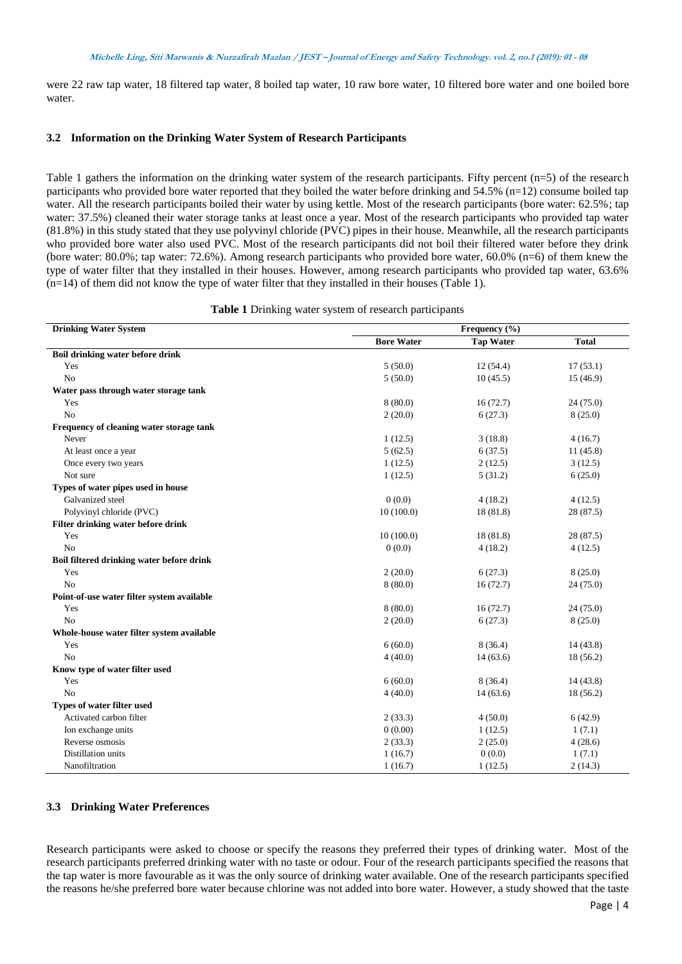were 22 raw tap water, 18 filtered tap water, 8 boiled tap water, 10 raw bore water, 10 filtered bore water and one boiled bore water.

#### **3.2 Information on the Drinking Water System of Research Participants**

Table 1 gathers the information on the drinking water system of the research participants. Fifty percent (n=5) of the research participants who provided bore water reported that they boiled the water before drinking and  $54.5\%$  (n=12) consume boiled tap water. All the research participants boiled their water by using kettle. Most of the research participants (bore water: 62.5%; tap water: 37.5%) cleaned their water storage tanks at least once a year. Most of the research participants who provided tap water (81.8%) in this study stated that they use polyvinyl chloride (PVC) pipes in their house. Meanwhile, all the research participants who provided bore water also used PVC. Most of the research participants did not boil their filtered water before they drink (bore water: 80.0%; tap water: 72.6%). Among research participants who provided bore water, 60.0% (n=6) of them knew the type of water filter that they installed in their houses. However, among research participants who provided tap water, 63.6%  $(n=14)$  of them did not know the type of water filter that they installed in their houses (Table 1).

| Table 1 Drinking water system of research participants |  |  |  |
|--------------------------------------------------------|--|--|--|
|--------------------------------------------------------|--|--|--|

| <b>Drinking Water System</b>               |                   | Frequency (%)    |              |
|--------------------------------------------|-------------------|------------------|--------------|
|                                            | <b>Bore Water</b> | <b>Tap Water</b> | <b>Total</b> |
| Boil drinking water before drink           |                   |                  |              |
| Yes                                        | 5(50.0)           | 12(54.4)         | 17(53.1)     |
| No                                         | 5(50.0)           | 10(45.5)         | 15 (46.9)    |
| Water pass through water storage tank      |                   |                  |              |
| Yes                                        | 8(80.0)           | 16(72.7)         | 24(75.0)     |
| No                                         | 2(20.0)           | 6(27.3)          | 8(25.0)      |
| Frequency of cleaning water storage tank   |                   |                  |              |
| Never                                      | 1(12.5)           | 3(18.8)          | 4(16.7)      |
| At least once a year                       | 5(62.5)           | 6(37.5)          | 11(45.8)     |
| Once every two years                       | 1(12.5)           | 2(12.5)          | 3(12.5)      |
| Not sure                                   | 1(12.5)           | 5(31.2)          | 6(25.0)      |
| Types of water pipes used in house         |                   |                  |              |
| Galvanized steel                           | 0(0.0)            | 4(18.2)          | 4(12.5)      |
| Polyvinyl chloride (PVC)                   | 10(100.0)         | 18 (81.8)        | 28 (87.5)    |
| Filter drinking water before drink         |                   |                  |              |
| Yes                                        | 10(100.0)         | 18 (81.8)        | 28 (87.5)    |
| No                                         | 0(0.0)            | 4(18.2)          | 4(12.5)      |
| Boil filtered drinking water before drink  |                   |                  |              |
| Yes                                        | 2(20.0)           | 6(27.3)          | 8(25.0)      |
| No                                         | 8(80.0)           | 16(72.7)         | 24(75.0)     |
| Point-of-use water filter system available |                   |                  |              |
| Yes                                        | 8(80.0)           | 16(72.7)         | 24(75.0)     |
| No                                         | 2(20.0)           | 6(27.3)          | 8(25.0)      |
| Whole-house water filter system available  |                   |                  |              |
| Yes                                        | 6(60.0)           | 8(36.4)          | 14(43.8)     |
| No                                         | 4(40.0)           | 14(63.6)         | 18(56.2)     |
| Know type of water filter used             |                   |                  |              |
| Yes                                        | 6(60.0)           | 8(36.4)          | 14(43.8)     |
| No                                         | 4(40.0)           | 14(63.6)         | 18(56.2)     |
| Types of water filter used                 |                   |                  |              |
| Activated carbon filter                    | 2(33.3)           | 4(50.0)          | 6(42.9)      |
| Ion exchange units                         | 0(0.00)           | 1(12.5)          | 1(7.1)       |
| Reverse osmosis                            | 2(33.3)           | 2(25.0)          | 4(28.6)      |
| Distillation units                         | 1(16.7)           | 0(0.0)           | 1(7.1)       |
| Nanofiltration                             | 1(16.7)           | 1(12.5)          | 2(14.3)      |

# **3.3 Drinking Water Preferences**

Research participants were asked to choose or specify the reasons they preferred their types of drinking water. Most of the research participants preferred drinking water with no taste or odour. Four of the research participants specified the reasons that the tap water is more favourable as it was the only source of drinking water available. One of the research participants specified the reasons he/she preferred bore water because chlorine was not added into bore water. However, a study showed that the taste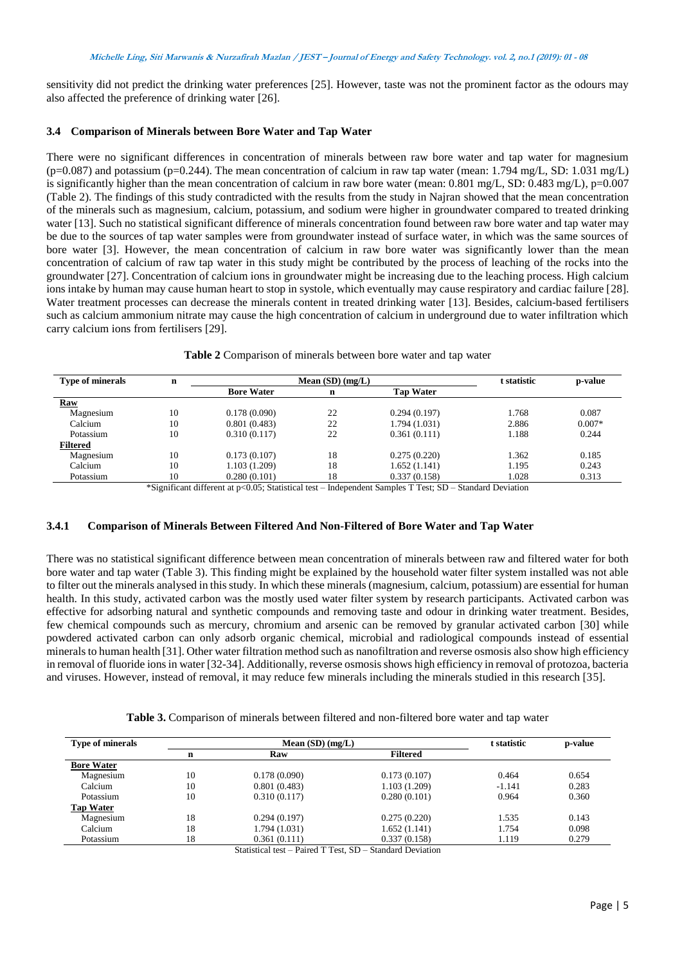sensitivity did not predict the drinking water preferences [25]. However, taste was not the prominent factor as the odours may also affected the preference of drinking water [26].

#### **3.4 Comparison of Minerals between Bore Water and Tap Water**

There were no significant differences in concentration of minerals between raw bore water and tap water for magnesium  $(p=0.087)$  and potassium (p=0.244). The mean concentration of calcium in raw tap water (mean: 1.794 mg/L, SD: 1.031 mg/L) is significantly higher than the mean concentration of calcium in raw bore water (mean:  $0.801 \text{ mg/L}$ , SD:  $0.483 \text{ mg/L}$ ), p=0.007 (Table 2). The findings of this study contradicted with the results from the study in Najran showed that the mean concentration of the minerals such as magnesium, calcium, potassium, and sodium were higher in groundwater compared to treated drinking water [13]. Such no statistical significant difference of minerals concentration found between raw bore water and tap water may be due to the sources of tap water samples were from groundwater instead of surface water, in which was the same sources of bore water [3]. However, the mean concentration of calcium in raw bore water was significantly lower than the mean concentration of calcium of raw tap water in this study might be contributed by the process of leaching of the rocks into the groundwater [27]. Concentration of calcium ions in groundwater might be increasing due to the leaching process. High calcium ions intake by human may cause human heart to stop in systole, which eventually may cause respiratory and cardiac failure [28]. Water treatment processes can decrease the minerals content in treated drinking water [13]. Besides, calcium-based fertilisers such as calcium ammonium nitrate may cause the high concentration of calcium in underground due to water infiltration which carry calcium ions from fertilisers [29].

| <b>Type of minerals</b> | n  | Mean $(SD)$ $(mg/L)$ |    |                  | t statistic | p-value  |
|-------------------------|----|----------------------|----|------------------|-------------|----------|
|                         |    | <b>Bore Water</b>    | n  | <b>Tap Water</b> |             |          |
| Raw                     |    |                      |    |                  |             |          |
| Magnesium               | 10 | 0.178(0.090)         | 22 | 0.294(0.197)     | 1.768       | 0.087    |
| Calcium                 | 10 | 0.801(0.483)         | 22 | 1.794 (1.031)    | 2.886       | $0.007*$ |
| Potassium               | 10 | 0.310(0.117)         | 22 | 0.361(0.111)     | 1.188       | 0.244    |
| <b>Filtered</b>         |    |                      |    |                  |             |          |
| Magnesium               | 10 | 0.173(0.107)         | 18 | 0.275(0.220)     | 1.362       | 0.185    |
| Calcium                 | 10 | 1.103 (1.209)        | 18 | 1.652(1.141)     | 1.195       | 0.243    |
| Potassium               | 10 | 0.280(0.101)         | 18 | 0.337(0.158)     | 1.028       | 0.313    |

**Table 2** Comparison of minerals between bore water and tap water

\*Significant different at p<0.05; Statistical test – Independent Samples T Test; SD – Standard Deviation

# **3.4.1 Comparison of Minerals Between Filtered And Non-Filtered of Bore Water and Tap Water**

There was no statistical significant difference between mean concentration of minerals between raw and filtered water for both bore water and tap water (Table 3). This finding might be explained by the household water filter system installed was not able to filter out the minerals analysed in this study. In which these minerals (magnesium, calcium, potassium) are essential for human health. In this study, activated carbon was the mostly used water filter system by research participants. Activated carbon was effective for adsorbing natural and synthetic compounds and removing taste and odour in drinking water treatment. Besides, few chemical compounds such as mercury, chromium and arsenic can be removed by granular activated carbon [30] while powdered activated carbon can only adsorb organic chemical, microbial and radiological compounds instead of essential minerals to human health [31]. Other water filtration method such as nanofiltration and reverse osmosis also show high efficiency in removal of fluoride ions in water [32-34]. Additionally, reverse osmosis shows high efficiency in removal of protozoa, bacteria and viruses. However, instead of removal, it may reduce few minerals including the minerals studied in this research [35].

| <b>Table 3.</b> Comparison of minerals between filtered and non-filtered bore water and tap water |  |
|---------------------------------------------------------------------------------------------------|--|
|---------------------------------------------------------------------------------------------------|--|

| <b>Type of minerals</b> | Mean $(SD)$ (mg/L) |               |                 | t statistic | p-value |
|-------------------------|--------------------|---------------|-----------------|-------------|---------|
|                         | n                  | Raw           | <b>Filtered</b> |             |         |
| <b>Bore Water</b>       |                    |               |                 |             |         |
| Magnesium               | 10                 | 0.178(0.090)  | 0.173(0.107)    | 0.464       | 0.654   |
| Calcium                 | 10                 | 0.801(0.483)  | 1.103 (1.209)   | $-1.141$    | 0.283   |
| Potassium               | 10                 | 0.310(0.117)  | 0.280(0.101)    | 0.964       | 0.360   |
| <b>Tap Water</b>        |                    |               |                 |             |         |
| Magnesium               | 18                 | 0.294(0.197)  | 0.275(0.220)    | 1.535       | 0.143   |
| Calcium                 | 18                 | 1.794 (1.031) | 1.652(1.141)    | 1.754       | 0.098   |
| Potassium               | 18                 | 0.361(0.111)  | 0.337(0.158)    | 1.119       | 0.279   |

Statistical test – Paired T Test, SD – Standard Deviation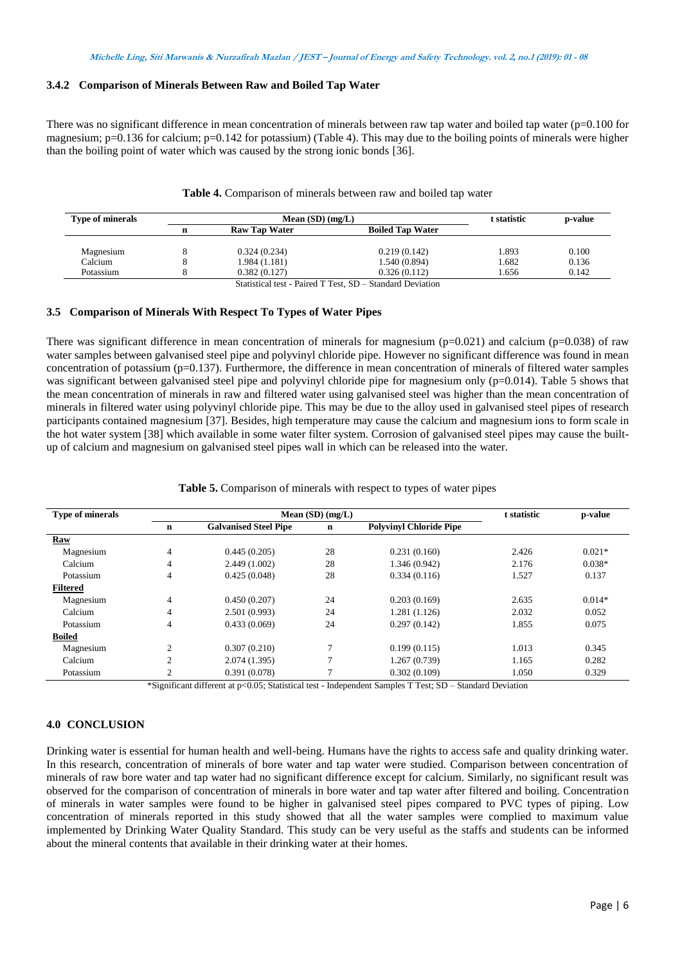#### **3.4.2 Comparison of Minerals Between Raw and Boiled Tap Water**

There was no significant difference in mean concentration of minerals between raw tap water and boiled tap water  $(p=0.100$  for magnesium;  $p=0.136$  for calcium;  $p=0.142$  for potassium) (Table 4). This may due to the boiling points of minerals were higher than the boiling point of water which was caused by the strong ionic bonds [36].

**Table 4.** Comparison of minerals between raw and boiled tap water

| <b>Type of minerals</b> |   | Mean $(SD)$ $(mg/L)$ |                                                                                                                                                                                                                                                                                                                                                                                      |       | p-value |
|-------------------------|---|----------------------|--------------------------------------------------------------------------------------------------------------------------------------------------------------------------------------------------------------------------------------------------------------------------------------------------------------------------------------------------------------------------------------|-------|---------|
|                         | n | Raw Tap Water        | <b>Boiled Tap Water</b>                                                                                                                                                                                                                                                                                                                                                              |       |         |
|                         |   |                      |                                                                                                                                                                                                                                                                                                                                                                                      |       |         |
| Magnesium               |   | 0.324(0.234)         | 0.219(0.142)                                                                                                                                                                                                                                                                                                                                                                         | 1.893 | 0.100   |
| Calcium                 |   | 1.984 (1.181)        | 1.540 (0.894)                                                                                                                                                                                                                                                                                                                                                                        | 1.682 | 0.136   |
| Potassium               |   | 0.382(0.127)         | 0.326(0.112)                                                                                                                                                                                                                                                                                                                                                                         | 1.656 | 0.142   |
|                         |   |                      | $\alpha$ , $\beta$ , $\beta$ , $\beta$ , $\alpha$ , $\beta$ , $\alpha$ , $\beta$ , $\beta$ , $\beta$ , $\beta$ , $\beta$ , $\beta$ , $\beta$ , $\beta$ , $\beta$ , $\beta$ , $\beta$ , $\beta$ , $\beta$ , $\beta$ , $\beta$ , $\beta$ , $\beta$ , $\beta$ , $\beta$ , $\beta$ , $\beta$ , $\beta$ , $\beta$ , $\beta$ , $\beta$ , $\beta$ , $\beta$ , $\beta$ , $\beta$ , $\beta$ , |       |         |

Statistical test - Paired T Test, SD – Standard Deviation

#### **3.5 Comparison of Minerals With Respect To Types of Water Pipes**

There was significant difference in mean concentration of minerals for magnesium  $(p=0.021)$  and calcium ( $p=0.038$ ) of raw water samples between galvanised steel pipe and polyvinyl chloride pipe. However no significant difference was found in mean concentration of potassium ( $p=0.137$ ). Furthermore, the difference in mean concentration of minerals of filtered water samples was significant between galvanised steel pipe and polyvinyl chloride pipe for magnesium only (p=0.014). Table 5 shows that the mean concentration of minerals in raw and filtered water using galvanised steel was higher than the mean concentration of minerals in filtered water using polyvinyl chloride pipe. This may be due to the alloy used in galvanised steel pipes of research participants contained magnesium [37]. Besides, high temperature may cause the calcium and magnesium ions to form scale in the hot water system [38] which available in some water filter system. Corrosion of galvanised steel pipes may cause the builtup of calcium and magnesium on galvanised steel pipes wall in which can be released into the water.

| <b>Type of minerals</b> |                | Mean $(SD)$ $(mg/L)$         | t statistic | p-value                        |       |          |
|-------------------------|----------------|------------------------------|-------------|--------------------------------|-------|----------|
|                         | n              | <b>Galvanised Steel Pipe</b> | $\mathbf n$ | <b>Polyvinyl Chloride Pipe</b> |       |          |
| Raw                     |                |                              |             |                                |       |          |
| Magnesium               | $\overline{4}$ | 0.445(0.205)                 | 28          | 0.231(0.160)                   | 2.426 | $0.021*$ |
| Calcium                 | 4              | 2.449 (1.002)                | 28          | 1.346 (0.942)                  | 2.176 | $0.038*$ |
| Potassium               | 4              | 0.425(0.048)                 | 28          | 0.334(0.116)                   | 1.527 | 0.137    |
| <b>Filtered</b>         |                |                              |             |                                |       |          |
| Magnesium               | 4              | 0.450(0.207)                 | 24          | 0.203(0.169)                   | 2.635 | $0.014*$ |
| Calcium                 | 4              | 2.501(0.993)                 | 24          | 1.281 (1.126)                  | 2.032 | 0.052    |
| Potassium               | 4              | 0.433(0.069)                 | 24          | 0.297(0.142)                   | 1.855 | 0.075    |
| <b>Boiled</b>           |                |                              |             |                                |       |          |
| Magnesium               | $\overline{c}$ | 0.307(0.210)                 | 7           | 0.199(0.115)                   | 1.013 | 0.345    |
| Calcium                 | $\overline{c}$ | 2.074(1.395)                 | ┑           | 1.267 (0.739)                  | 1.165 | 0.282    |
| Potassium               | 2              | 0.391(0.078)                 | ┑           | 0.302(0.109)                   | 1.050 | 0.329    |

**Table 5.** Comparison of minerals with respect to types of water pipes

\*Significant different at p<0.05; Statistical test - Independent Samples T Test; SD – Standard Deviation

# **4.0 CONCLUSION**

Drinking water is essential for human health and well-being. Humans have the rights to access safe and quality drinking water. In this research, concentration of minerals of bore water and tap water were studied. Comparison between concentration of minerals of raw bore water and tap water had no significant difference except for calcium. Similarly, no significant result was observed for the comparison of concentration of minerals in bore water and tap water after filtered and boiling. Concentration of minerals in water samples were found to be higher in galvanised steel pipes compared to PVC types of piping. Low concentration of minerals reported in this study showed that all the water samples were complied to maximum value implemented by Drinking Water Quality Standard. This study can be very useful as the staffs and students can be informed about the mineral contents that available in their drinking water at their homes.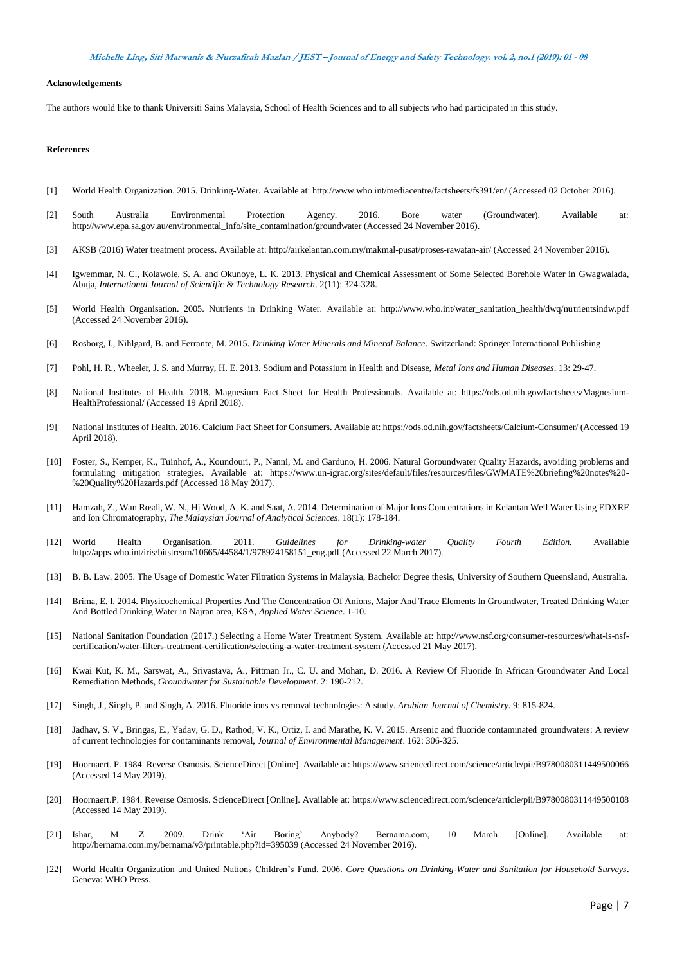#### **Michelle Ling, Siti Marwanis & Nurzafirah Mazlan / JEST – Journal of Energy and Safety Technology. vol. 2, no.1 (2019): <sup>01</sup> - <sup>08</sup>**

#### **Acknowledgements**

The authors would like to thank Universiti Sains Malaysia, School of Health Sciences and to all subjects who had participated in this study.

#### **References**

- [1] World Health Organization. 2015. Drinking-Water. Available at: http://www.who.int/mediacentre/factsheets/fs391/en/ (Accessed 02 October 2016).
- [2] South Australia Environmental Protection Agency. 2016. Bore water (Groundwater). Available at: http://www.epa.sa.gov.au/environmental\_info/site\_contamination/groundwater (Accessed 24 November 2016).
- [3] AKSB (2016) Water treatment process. Available at: http://airkelantan.com.my/makmal-pusat/proses-rawatan-air/ (Accessed 24 November 2016).
- [4] Igwemmar, N. C., Kolawole, S. A. and Okunoye, L. K. 2013. Physical and Chemical Assessment of Some Selected Borehole Water in Gwagwalada, Abuja, *International Journal of Scientific & Technology Research*. 2(11): 324-328.
- [5] World Health Organisation. 2005. Nutrients in Drinking Water. Available at: http://www.who.int/water\_sanitation\_health/dwq/nutrientsindw.pdf (Accessed 24 November 2016).
- [6] Rosborg, I., Nihlgard, B. and Ferrante, M. 2015. *Drinking Water Minerals and Mineral Balance*. Switzerland: Springer International Publishing
- [7] Pohl, H. R., Wheeler, J. S. and Murray, H. E. 2013. Sodium and Potassium in Health and Disease, *Metal Ions and Human Diseases*. 13: 29-47.
- [8] National Institutes of Health. 2018. Magnesium Fact Sheet for Health Professionals. Available at: https://ods.od.nih.gov/factsheets/Magnesium-HealthProfessional/ (Accessed 19 April 2018).
- [9] National Institutes of Health. 2016. Calcium Fact Sheet for Consumers. Available at: https://ods.od.nih.gov/factsheets/Calcium-Consumer/ (Accessed 19 April 2018).
- [10] Foster, S., Kemper, K., Tuinhof, A., Koundouri, P., Nanni, M. and Garduno, H. 2006. Natural Goroundwater Quality Hazards, avoiding problems and formulating mitigation strategies. Available at: https://www.un-igrac.org/sites/default/files/resources/files/GWMATE%20briefing%20notes%20- %20Quality%20Hazards.pdf (Accessed 18 May 2017).
- [11] Hamzah, Z., Wan Rosdi, W. N., Hj Wood, A. K. and Saat, A. 2014. Determination of Major Ions Concentrations in Kelantan Well Water Using EDXRF and Ion Chromatography, *The Malaysian Journal of Analytical Sciences*. 18(1): 178-184.
- [12] World Health Organisation. 2011. *Guidelines for Drinking-water Quality Fourth Edition.* Available [http://apps.who.int/iris/bitstream/10665/44584/1/978924158151\\_eng.pdf](http://apps.who.int/iris/bitstream/10665/44584/1/978924158151_eng.pdf) (Accessed 22 March 2017).
- [13] B. B. Law. 2005. The Usage of Domestic Water Filtration Systems in Malaysia, Bachelor Degree thesis, University of Southern Queensland, Australia.
- [14] Brima, E. I. 2014. Physicochemical Properties And The Concentration Of Anions, Major And Trace Elements In Groundwater, Treated Drinking Water And Bottled Drinking Water in Najran area, KSA, *Applied Water Science*. 1-10.
- [15] National Sanitation Foundation (2017.) Selecting a Home Water Treatment System. Available at: http://www.nsf.org/consumer-resources/what-is-nsfcertification/water-filters-treatment-certification/selecting-a-water-treatment-system (Accessed 21 May 2017).
- [16] Kwai Kut, K. M., Sarswat, A., Srivastava, A., Pittman Jr., C. U. and Mohan, D. 2016. A Review Of Fluoride In African Groundwater And Local Remediation Methods, *Groundwater for Sustainable Development*. 2: 190-212.
- [17] Singh, J., Singh, P. and Singh, A. 2016. Fluoride ions vs removal technologies: A study. *Arabian Journal of Chemistry*. 9: 815-824.
- [18] Jadhav, S. V., Bringas, E., Yadav, G. D., Rathod, V. K., Ortiz, I. and Marathe, K. V. 2015. Arsenic and fluoride contaminated groundwaters: A review of current technologies for contaminants removal, *Journal of Environmental Management*. 162: 306-325.
- [19] Hoornaert. P. 1984. Reverse Osmosis. ScienceDirect [Online]. Available at[: https://www.sciencedirect.com/science/article/pii/B9780080311449500066](https://www.sciencedirect.com/science/article/pii/B9780080311449500066%20(Accessed)  [\(Accessed](https://www.sciencedirect.com/science/article/pii/B9780080311449500066%20(Accessed) 14 May 2019).
- [20] Hoornaert.P. 1984. Reverse Osmosis. ScienceDirect [Online]. Available at[: https://www.sciencedirect.com/science/article/pii/B9780080311449500108](https://www.sciencedirect.com/science/article/pii/B9780080311449500108) (Accessed 14 May 2019).
- [21] Ishar, M. Z. 2009. Drink 'Air Boring' Anybody? Bernama.com, 10 March [Online]. Available at: http://bernama.com.my/bernama/v3/printable.php?id=395039 (Accessed 24 November 2016).
- [22] World Health Organization and United Nations Children's Fund. 2006. *Core Questions on Drinking-Water and Sanitation for Household Surveys*. Geneva: WHO Press.